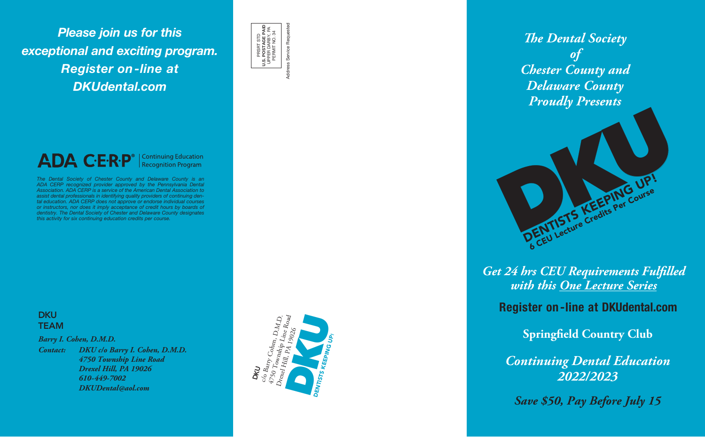*Please join us for this exceptional and exciting program. Register on-line at DKUdental.com*

*Barry I. Cohen, D.M.D.*

*Contact: DKU c/o Barry I. Cohen, D.M.D. 4750 Township Line Road Drexel Hill, PA 19026 610-449-7002 DKUDental@aol.com*



Address Service Requested **U.S. POSTAGE PAID** UPPER DARBY, PA PERMIT NO. 34 PRSRT STD JPPER DARBY<br>PERMIT NO. : Service Req  $\frac{0}{2}$ 

**Addr** 

ADA C·E·R·P<sup>®</sup> | Continuing Education

*The Dental Society of Chester County and Delaware County Proudly Presents*

*Get 24 hrs CEU Requirements Fulfilled* 



**Springfield Country Club**

*Continuing Dental Education 2022/2023*

*Save \$50, Pay Before July 15*

Register on -line at DKUdental.com

The Dental Society of Chester County and Delaware County is an ADA CERP recognized provider approved by the Pennsylvania Dental Association. ADA CERP is a service of the American Dental Association to assist dental professionals in identifying quality providers of continuing den tal education. ADA CERP does not approve or endorse individual courses or instructors, nor does it imply acceptance of credit hours by boards of dentistry. The Dental Society of Chester and Delaware County designates this activity for six continuing education credits per course.

# **DKU TEAM**